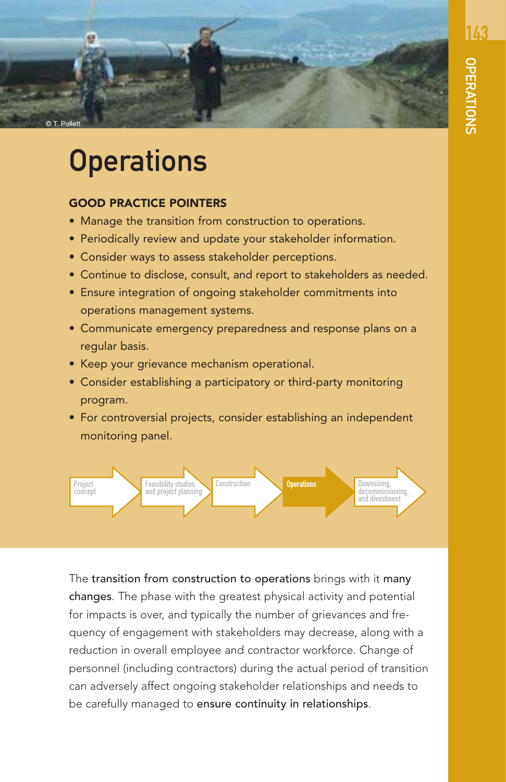

# **Operations**

#### GOOD PRACTICE POINTERS

- Manage the transition from construction to operations.
- Periodically review and update your stakeholder information.
- Consider ways to assess stakeholder perceptions.
- Continue to disclose, consult, and report to stakeholders as needed.
- Ensure integration of ongoing stakeholder commitments into operations management systems.
- Communicate emergency preparedness and response plans on a regular basis.
- Keep your grievance mechanism operational.
- Consider establishing a participatory or third-party monitoring program.
- For controversial projects, consider establishing an independent monitoring panel.



The transition from construction to operations brings with it many changes. The phase with the greatest physical activity and potential for impacts is over, and typically the number of grievances and frequency of engagement with stakeholders may decrease, along with a reduction in overall employee and contractor workforce. Change of personnel (including contractors) during the actual period of transition can adversely affect ongoing stakeholder relationships and needs to be carefully managed to ensure continuity in relationships.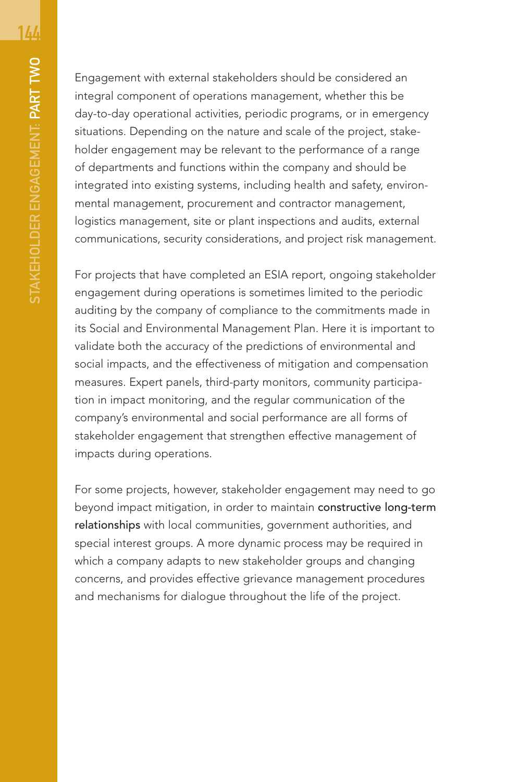Engagement with external stakeholders should be considered an integral component of operations management, whether this be day-to-day operational activities, periodic programs, or in emergency situations. Depending on the nature and scale of the project, stakeholder engagement may be relevant to the performance of a range of departments and functions within the company and should be integrated into existing systems, including health and safety, environmental management, procurement and contractor management, logistics management, site or plant inspections and audits, external communications, security considerations, and project risk management.

For projects that have completed an ESIA report, ongoing stakeholder engagement during operations is sometimes limited to the periodic auditing by the company of compliance to the commitments made in its Social and Environmental Management Plan. Here it is important to validate both the accuracy of the predictions of environmental and social impacts, and the effectiveness of mitigation and compensation measures. Expert panels, third-party monitors, community participation in impact monitoring, and the regular communication of the company's environmental and social performance are all forms of stakeholder engagement that strengthen effective management of impacts during operations.

For some projects, however, stakeholder engagement may need to go beyond impact mitigation, in order to maintain constructive long-term relationships with local communities, government authorities, and special interest groups. A more dynamic process may be required in which a company adapts to new stakeholder groups and changing concerns, and provides effective grievance management procedures and mechanisms for dialogue throughout the life of the project.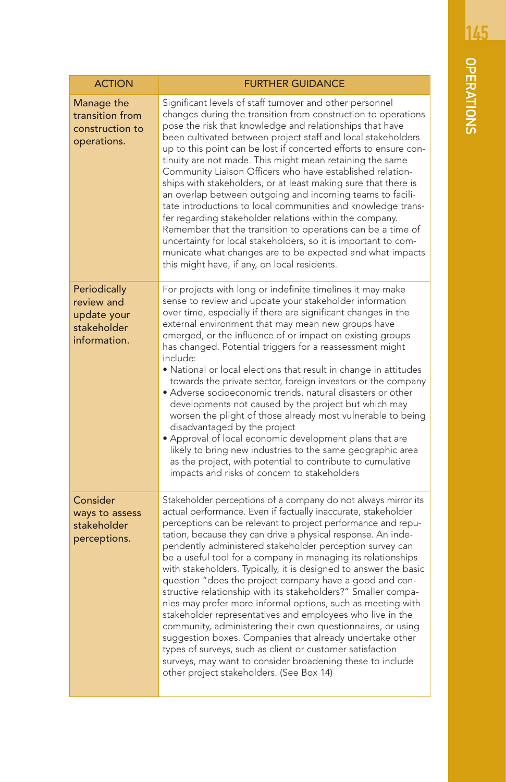| <b>ACTION</b>                                                            | <b>FURTHER GUIDANCE</b>                                                                                                                                                                                                                                                                                                                                                                                                                                                                                                                                                                                                                                                                                                                                                                                                                                                                                                                                                                                                 |
|--------------------------------------------------------------------------|-------------------------------------------------------------------------------------------------------------------------------------------------------------------------------------------------------------------------------------------------------------------------------------------------------------------------------------------------------------------------------------------------------------------------------------------------------------------------------------------------------------------------------------------------------------------------------------------------------------------------------------------------------------------------------------------------------------------------------------------------------------------------------------------------------------------------------------------------------------------------------------------------------------------------------------------------------------------------------------------------------------------------|
|                                                                          |                                                                                                                                                                                                                                                                                                                                                                                                                                                                                                                                                                                                                                                                                                                                                                                                                                                                                                                                                                                                                         |
| Manage the<br>transition from<br>construction to<br>operations.          | Significant levels of staff turnover and other personnel<br>changes during the transition from construction to operations<br>pose the risk that knowledge and relationships that have<br>been cultivated between project staff and local stakeholders<br>up to this point can be lost if concerted efforts to ensure con-<br>tinuity are not made. This might mean retaining the same<br>Community Liaison Officers who have established relation-<br>ships with stakeholders, or at least making sure that there is<br>an overlap between outgoing and incoming teams to facili-<br>tate introductions to local communities and knowledge trans-<br>fer regarding stakeholder relations within the company.<br>Remember that the transition to operations can be a time of<br>uncertainty for local stakeholders, so it is important to com-<br>municate what changes are to be expected and what impacts<br>this might have, if any, on local residents.                                                              |
| Periodically<br>review and<br>update your<br>stakeholder<br>information. | For projects with long or indefinite timelines it may make<br>sense to review and update your stakeholder information<br>over time, especially if there are significant changes in the<br>external environment that may mean new groups have<br>emerged, or the influence of or impact on existing groups<br>has changed. Potential triggers for a reassessment might<br>include:<br>. National or local elections that result in change in attitudes<br>towards the private sector, foreign investors or the company<br>• Adverse socioeconomic trends, natural disasters or other<br>developments not caused by the project but which may<br>worsen the plight of those already most vulnerable to being<br>disadvantaged by the project<br>· Approval of local economic development plans that are<br>likely to bring new industries to the same geographic area<br>as the project, with potential to contribute to cumulative<br>impacts and risks of concern to stakeholders                                       |
| Consider<br>ways to assess<br>stakeholder<br>perceptions.                | Stakeholder perceptions of a company do not always mirror its<br>actual performance. Even if factually inaccurate, stakeholder<br>perceptions can be relevant to project performance and repu-<br>tation, because they can drive a physical response. An inde-<br>pendently administered stakeholder perception survey can<br>be a useful tool for a company in managing its relationships<br>with stakeholders. Typically, it is designed to answer the basic<br>question "does the project company have a good and con-<br>structive relationship with its stakeholders?" Smaller compa-<br>nies may prefer more informal options, such as meeting with<br>stakeholder representatives and employees who live in the<br>community, administering their own questionnaires, or using<br>suggestion boxes. Companies that already undertake other<br>types of surveys, such as client or customer satisfaction<br>surveys, may want to consider broadening these to include<br>other project stakeholders. (See Box 14) |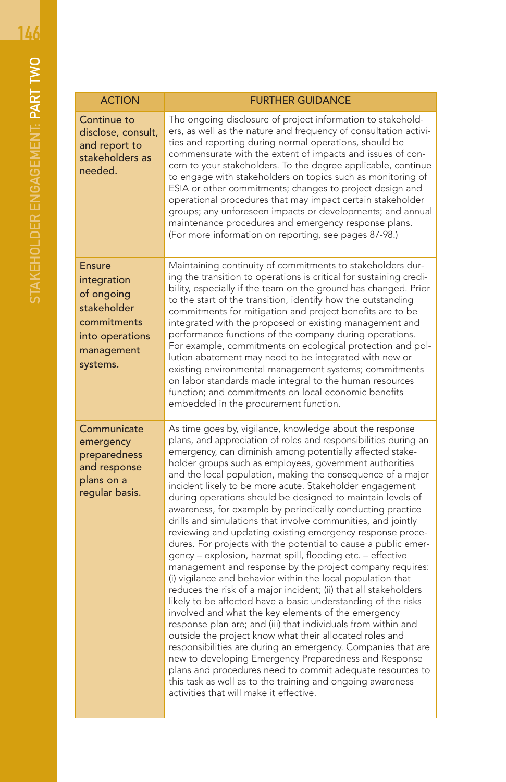| <b>ACTION</b>                                                                                                         | <b>FURTHER GUIDANCE</b>                                                                                                                                                                                                                                                                                                                                                                                                                                                                                                                                                                                                                                                                                                                                                                                                                                                                                                                                                                                                                                                                                                                                                                                                                                                                                                                                                                                                                                                                                                   |
|-----------------------------------------------------------------------------------------------------------------------|---------------------------------------------------------------------------------------------------------------------------------------------------------------------------------------------------------------------------------------------------------------------------------------------------------------------------------------------------------------------------------------------------------------------------------------------------------------------------------------------------------------------------------------------------------------------------------------------------------------------------------------------------------------------------------------------------------------------------------------------------------------------------------------------------------------------------------------------------------------------------------------------------------------------------------------------------------------------------------------------------------------------------------------------------------------------------------------------------------------------------------------------------------------------------------------------------------------------------------------------------------------------------------------------------------------------------------------------------------------------------------------------------------------------------------------------------------------------------------------------------------------------------|
| Continue to<br>disclose, consult,<br>and report to<br>stakeholders as<br>needed.                                      | The ongoing disclosure of project information to stakehold-<br>ers, as well as the nature and frequency of consultation activi-<br>ties and reporting during normal operations, should be<br>commensurate with the extent of impacts and issues of con-<br>cern to your stakeholders. To the degree applicable, continue<br>to engage with stakeholders on topics such as monitoring of<br>ESIA or other commitments; changes to project design and<br>operational procedures that may impact certain stakeholder<br>groups; any unforeseen impacts or developments; and annual<br>maintenance procedures and emergency response plans.<br>(For more information on reporting, see pages 87-98.)                                                                                                                                                                                                                                                                                                                                                                                                                                                                                                                                                                                                                                                                                                                                                                                                                          |
| <b>Ensure</b><br>integration<br>of ongoing<br>stakeholder<br>commitments<br>into operations<br>management<br>systems. | Maintaining continuity of commitments to stakeholders dur-<br>ing the transition to operations is critical for sustaining credi-<br>bility, especially if the team on the ground has changed. Prior<br>to the start of the transition, identify how the outstanding<br>commitments for mitigation and project benefits are to be<br>integrated with the proposed or existing management and<br>performance functions of the company during operations.<br>For example, commitments on ecological protection and pol-<br>lution abatement may need to be integrated with new or<br>existing environmental management systems; commitments<br>on labor standards made integral to the human resources<br>function; and commitments on local economic benefits<br>embedded in the procurement function.                                                                                                                                                                                                                                                                                                                                                                                                                                                                                                                                                                                                                                                                                                                      |
| Communicate<br>emergency<br>preparedness<br>and response<br>plans on a<br>regular basis.                              | As time goes by, vigilance, knowledge about the response<br>plans, and appreciation of roles and responsibilities during an<br>emergency, can diminish among potentially affected stake-<br>holder groups such as employees, government authorities<br>and the local population, making the consequence of a major<br>incident likely to be more acute. Stakeholder engagement<br>during operations should be designed to maintain levels of<br>awareness, for example by periodically conducting practice<br>drills and simulations that involve communities, and jointly<br>reviewing and updating existing emergency response proce-<br>dures. For projects with the potential to cause a public emer-<br>gency - explosion, hazmat spill, flooding etc. - effective<br>management and response by the project company requires:<br>(i) vigilance and behavior within the local population that<br>reduces the risk of a major incident; (ii) that all stakeholders<br>likely to be affected have a basic understanding of the risks<br>involved and what the key elements of the emergency<br>response plan are; and (iii) that individuals from within and<br>outside the project know what their allocated roles and<br>responsibilities are during an emergency. Companies that are<br>new to developing Emergency Preparedness and Response<br>plans and procedures need to commit adequate resources to<br>this task as well as to the training and ongoing awareness<br>activities that will make it effective. |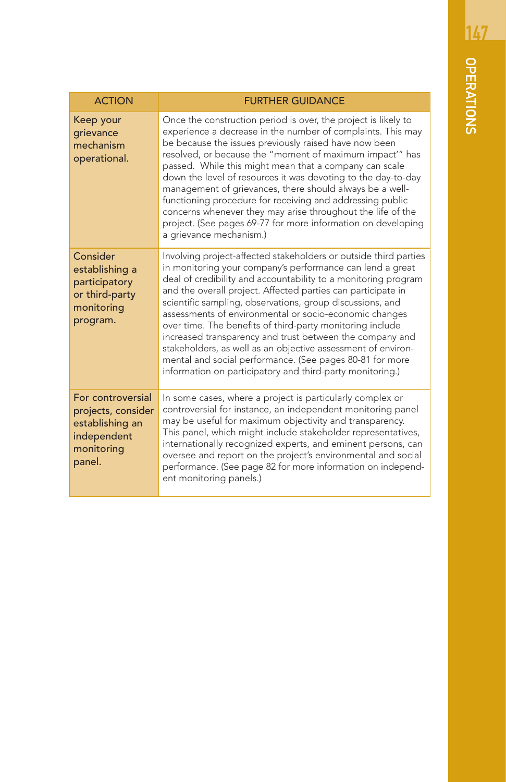| <b>ACTION</b>                                                                                     | <b>FURTHER GUIDANCE</b>                                                                                                                                                                                                                                                                                                                                                                                                                                                                                                                                                                                                                                                                                  |
|---------------------------------------------------------------------------------------------------|----------------------------------------------------------------------------------------------------------------------------------------------------------------------------------------------------------------------------------------------------------------------------------------------------------------------------------------------------------------------------------------------------------------------------------------------------------------------------------------------------------------------------------------------------------------------------------------------------------------------------------------------------------------------------------------------------------|
| Keep your<br>grievance<br>mechanism<br>operational.                                               | Once the construction period is over, the project is likely to<br>experience a decrease in the number of complaints. This may<br>be because the issues previously raised have now been<br>resolved, or because the "moment of maximum impact" has<br>passed. While this might mean that a company can scale<br>down the level of resources it was devoting to the day-to-day<br>management of grievances, there should always be a well-<br>functioning procedure for receiving and addressing public<br>concerns whenever they may arise throughout the life of the<br>project. (See pages 69-77 for more information on developing<br>a grievance mechanism.)                                          |
| Consider<br>establishing a<br>participatory<br>or third-party<br>monitoring<br>program.           | Involving project-affected stakeholders or outside third parties<br>in monitoring your company's performance can lend a great<br>deal of credibility and accountability to a monitoring program<br>and the overall project. Affected parties can participate in<br>scientific sampling, observations, group discussions, and<br>assessments of environmental or socio-economic changes<br>over time. The benefits of third-party monitoring include<br>increased transparency and trust between the company and<br>stakeholders, as well as an objective assessment of environ-<br>mental and social performance. (See pages 80-81 for more<br>information on participatory and third-party monitoring.) |
| For controversial<br>projects, consider<br>establishing an<br>independent<br>monitoring<br>panel. | In some cases, where a project is particularly complex or<br>controversial for instance, an independent monitoring panel<br>may be useful for maximum objectivity and transparency.<br>This panel, which might include stakeholder representatives,<br>internationally recognized experts, and eminent persons, can<br>oversee and report on the project's environmental and social<br>performance. (See page 82 for more information on independ-<br>ent monitoring panels.)                                                                                                                                                                                                                            |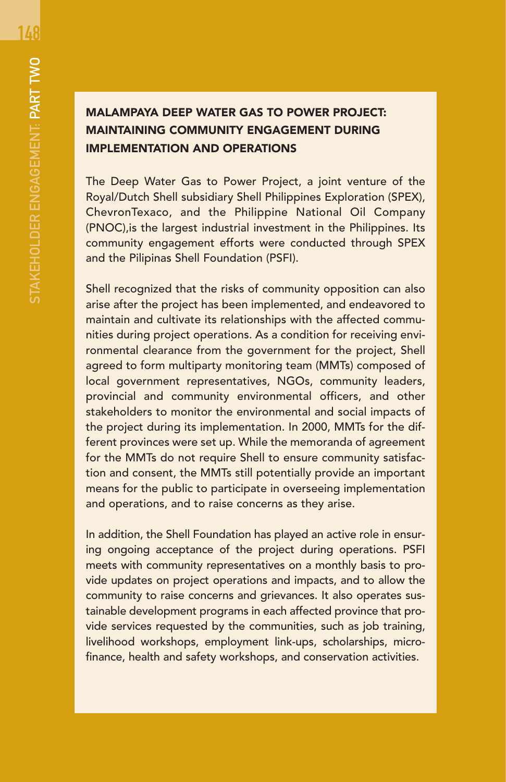148

## MALAMPAYA DEEP WATER GAS TO POWER PROJECT: MAINTAINING COMMUNITY ENGAGEMENT DURING IMPLEMENTATION AND OPERATIONS

The Deep Water Gas to Power Project, a joint venture of the Royal/Dutch Shell subsidiary Shell Philippines Exploration (SPEX), ChevronTexaco, and the Philippine National Oil Company (PNOC),is the largest industrial investment in the Philippines. Its community engagement efforts were conducted through SPEX and the Pilipinas Shell Foundation (PSFI).

Shell recognized that the risks of community opposition can also arise after the project has been implemented, and endeavored to maintain and cultivate its relationships with the affected communities during project operations. As a condition for receiving environmental clearance from the government for the project, Shell agreed to form multiparty monitoring team (MMTs) composed of local government representatives, NGOs, community leaders, provincial and community environmental officers, and other stakeholders to monitor the environmental and social impacts of the project during its implementation. In 2000, MMTs for the different provinces were set up. While the memoranda of agreement for the MMTs do not require Shell to ensure community satisfaction and consent, the MMTs still potentially provide an important means for the public to participate in overseeing implementation and operations, and to raise concerns as they arise.

In addition, the Shell Foundation has played an active role in ensuring ongoing acceptance of the project during operations. PSFI meets with community representatives on a monthly basis to provide updates on project operations and impacts, and to allow the community to raise concerns and grievances. It also operates sustainable development programs in each affected province that provide services requested by the communities, such as job training, livelihood workshops, employment link-ups, scholarships, microfinance, health and safety workshops, and conservation activities.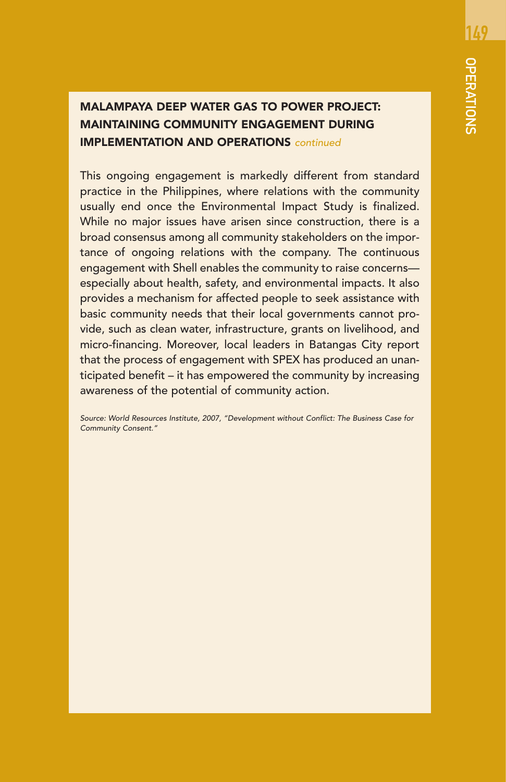## MALAMPAYA DEEP WATER GAS TO POWER PROJECT: MAINTAINING COMMUNITY ENGAGEMENT DURING IMPLEMENTATION AND OPERATIONS continued

This ongoing engagement is markedly different from standard practice in the Philippines, where relations with the community usually end once the Environmental Impact Study is finalized. While no major issues have arisen since construction, there is a broad consensus among all community stakeholders on the importance of ongoing relations with the company. The continuous engagement with Shell enables the community to raise concerns especially about health, safety, and environmental impacts. It also provides a mechanism for affected people to seek assistance with basic community needs that their local governments cannot provide, such as clean water, infrastructure, grants on livelihood, and micro-financing. Moreover, local leaders in Batangas City report that the process of engagement with SPEX has produced an unanticipated benefit – it has empowered the community by increasing awareness of the potential of community action.

Source: World Resources Institute, 2007, "Development without Conflict: The Business Case for Community Consent."